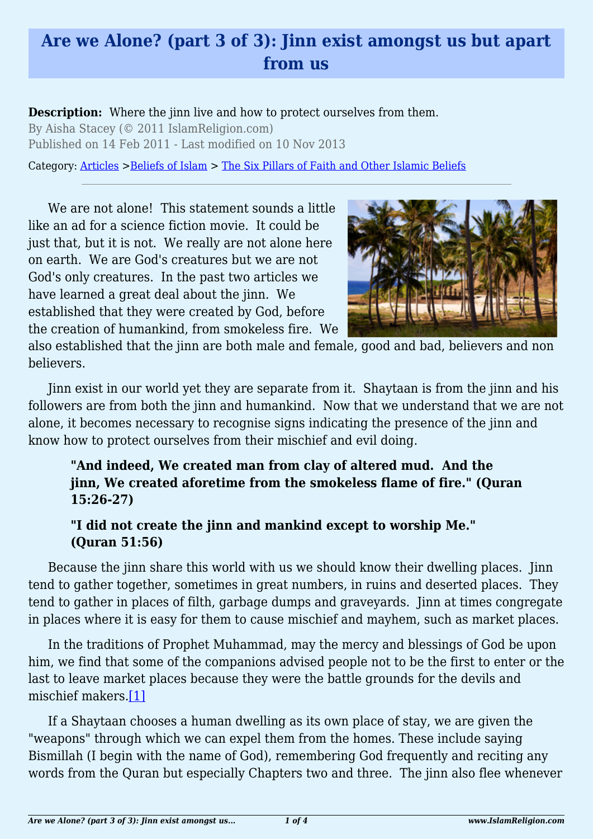## **Are we Alone? (part 3 of 3): Jinn exist amongst us but apart from us**

**Description:** Where the jinn live and how to protect ourselves from them. By Aisha Stacey (© 2011 IslamReligion.com)

Published on 14 Feb 2011 - Last modified on 10 Nov 2013

Category: [Articles](http://www.islamreligion.com/articles/) >[Beliefs of Islam](http://www.islamreligion.com/category/48/) > [The Six Pillars of Faith and Other Islamic Beliefs](http://www.islamreligion.com/category/50/)

We are not alone! This statement sounds a little like an ad for a science fiction movie. It could be just that, but it is not. We really are not alone here on earth. We are God's creatures but we are not God's only creatures. In the past two articles we have learned a great deal about the jinn. We established that they were created by God, before the creation of humankind, from smokeless fire. We



also established that the jinn are both male and female, good and bad, believers and non believers.

Jinn exist in our world yet they are separate from it. Shaytaan is from the jinn and his followers are from both the jinn and humankind. Now that we understand that we are not alone, it becomes necessary to recognise signs indicating the presence of the jinn and know how to protect ourselves from their mischief and evil doing.

**"And indeed, We created man from clay of altered mud. And the jinn, We created aforetime from the smokeless flame of fire." (Quran 15:26-27)**

## **"I did not create the jinn and mankind except to worship Me." (Quran 51:56)**

Because the jinn share this world with us we should know their dwelling places. Jinn tend to gather together, sometimes in great numbers, in ruins and deserted places. They tend to gather in places of filth, garbage dumps and graveyards. Jinn at times congregate in places where it is easy for them to cause mischief and mayhem, such as market places.

In the traditions of Prophet Muhammad, may the mercy and blessings of God be upon him, we find that some of the companions advised people not to be the first to enter or the last to leave market places because they were the battle grounds for the devils and mischief makers[.\[1\]](#page-2-0)

<span id="page-0-0"></span>If a Shaytaan chooses a human dwelling as its own place of stay, we are given the "weapons" through which we can expel them from the homes. These include saying Bismillah (I begin with the name of God), remembering God frequently and reciting any words from the Quran but especially Chapters two and three. The jinn also flee whenever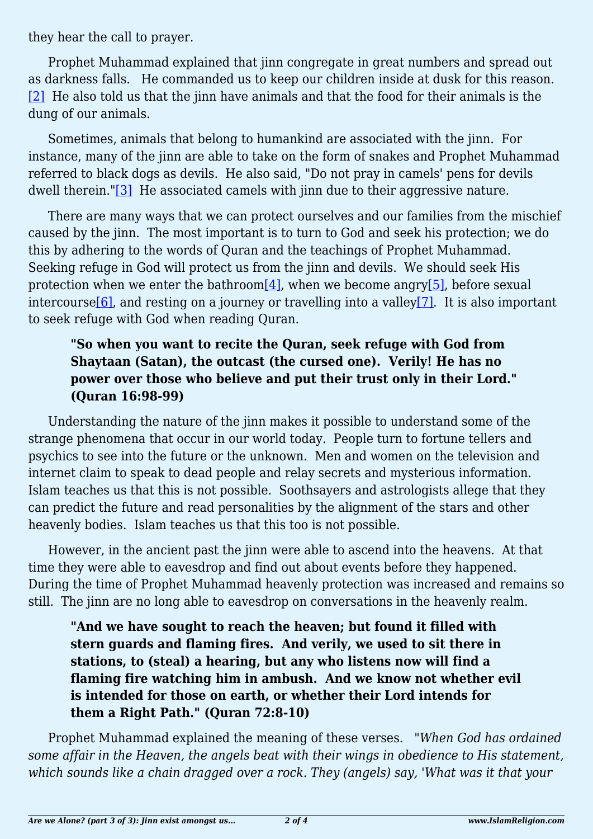they hear the call to prayer.

<span id="page-1-0"></span>Prophet Muhammad explained that jinn congregate in great numbers and spread out as darkness falls. He commanded us to keep our children inside at dusk for this reason. [\[2\]](#page-2-1) He also told us that the jinn have animals and that the food for their animals is the dung of our animals.

Sometimes, animals that belong to humankind are associated with the jinn. For instance, many of the jinn are able to take on the form of snakes and Prophet Muhammad referred to black dogs as devils. He also said, "Do not pray in camels' pens for devils dwell therein.["\[3\]](#page-2-2) He associated camels with jinn due to their aggressive nature.

<span id="page-1-2"></span><span id="page-1-1"></span>There are many ways that we can protect ourselves and our families from the mischief caused by the jinn. The most important is to turn to God and seek his protection; we do this by adhering to the words of Quran and the teachings of Prophet Muhammad. Seeking refuge in God will protect us from the jinn and devils. We should seek His protection when we enter the bathroom<sup>[4]</sup>, when we become angry<sup>[\[5\]](#page-2-4)</sup>, before sexual intercourse<sup>[6]</sup>, and resting on a journey or travelling into a valley<sup>[\[7\]](#page-2-6)</sup>. It is also important to seek refuge with God when reading Quran.

## <span id="page-1-3"></span>**"So when you want to recite the Quran, seek refuge with God from Shaytaan (Satan), the outcast (the cursed one). Verily! He has no power over those who believe and put their trust only in their Lord." (Quran 16:98-99)**

Understanding the nature of the jinn makes it possible to understand some of the strange phenomena that occur in our world today. People turn to fortune tellers and psychics to see into the future or the unknown. Men and women on the television and internet claim to speak to dead people and relay secrets and mysterious information. Islam teaches us that this is not possible. Soothsayers and astrologists allege that they can predict the future and read personalities by the alignment of the stars and other heavenly bodies. Islam teaches us that this too is not possible.

However, in the ancient past the jinn were able to ascend into the heavens. At that time they were able to eavesdrop and find out about events before they happened. During the time of Prophet Muhammad heavenly protection was increased and remains so still. The jinn are no long able to eavesdrop on conversations in the heavenly realm.

**"And we have sought to reach the heaven; but found it filled with stern guards and flaming fires. And verily, we used to sit there in stations, to (steal) a hearing, but any who listens now will find a flaming fire watching him in ambush. And we know not whether evil is intended for those on earth, or whether their Lord intends for them a Right Path." (Quran 72:8-10)**

Prophet Muhammad explained the meaning of these verses. *"When God has ordained some affair in the Heaven, the angels beat with their wings in obedience to His statement, which sounds like a chain dragged over a rock. They (angels) say, 'What was it that your*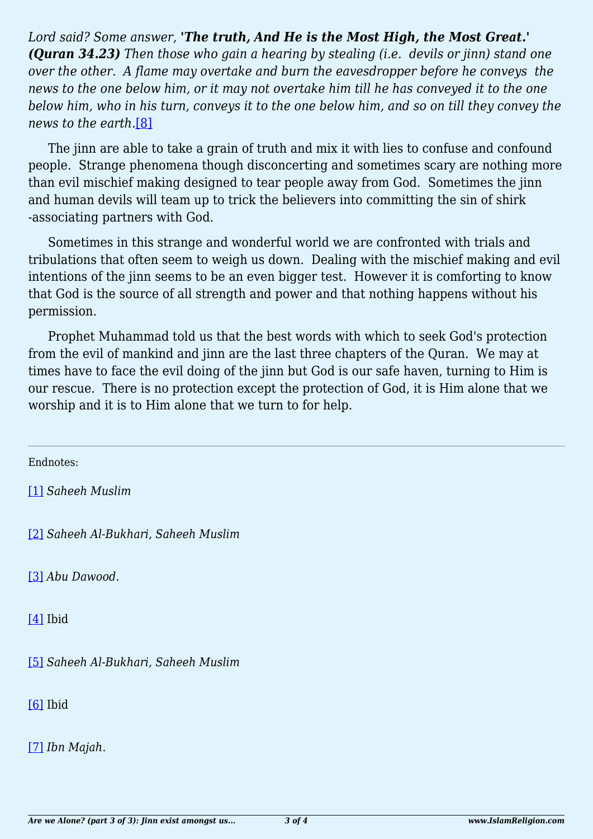*Lord said? Some answer, 'The truth, And He is the Most High, the Most Great.' (Quran 34.23) Then those who gain a hearing by stealing (i.e. devils or jinn) stand one over the other. A flame may overtake and burn the eavesdropper before he conveys the news to the one below him, or it may not overtake him till he has conveyed it to the one below him, who in his turn, conveys it to the one below him, and so on till they convey the news to the earth.*[\[8\]](#page-2-7)

<span id="page-2-8"></span>The jinn are able to take a grain of truth and mix it with lies to confuse and confound people. Strange phenomena though disconcerting and sometimes scary are nothing more than evil mischief making designed to tear people away from God. Sometimes the jinn and human devils will team up to trick the believers into committing the sin of shirk -associating partners with God.

Sometimes in this strange and wonderful world we are confronted with trials and tribulations that often seem to weigh us down. Dealing with the mischief making and evil intentions of the jinn seems to be an even bigger test. However it is comforting to know that God is the source of all strength and power and that nothing happens without his permission.

Prophet Muhammad told us that the best words with which to seek God's protection from the evil of mankind and jinn are the last three chapters of the Quran. We may at times have to face the evil doing of the jinn but God is our safe haven, turning to Him is our rescue. There is no protection except the protection of God, it is Him alone that we worship and it is to Him alone that we turn to for help.

<span id="page-2-0"></span>Endnotes:

[\[1\]](#page-0-0) *Saheeh Muslim*

<span id="page-2-1"></span>[\[2\]](#page-1-0) *Saheeh Al-Bukhari, Saheeh Muslim*

<span id="page-2-2"></span>[\[3\]](#page-1-1) *Abu Dawood*.

<span id="page-2-3"></span>[\[4\]](#page-1-2) Ibid

<span id="page-2-4"></span>[\[5\]](#page-1-2) *Saheeh Al-Bukhari, Saheeh Muslim*

<span id="page-2-5"></span>[\[6\]](#page-1-3) Ibid

<span id="page-2-7"></span><span id="page-2-6"></span>[\[7\]](#page-1-3) *Ibn Majah*.